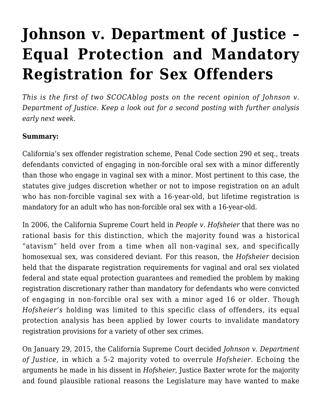## **[Johnson v. Department of Justice –](https://scocablog.com/johnson-v-department-of-justice-equal-protection-and-mandatory-registration-for-sex-offenders/) [Equal Protection and Mandatory](https://scocablog.com/johnson-v-department-of-justice-equal-protection-and-mandatory-registration-for-sex-offenders/) [Registration for Sex Offenders](https://scocablog.com/johnson-v-department-of-justice-equal-protection-and-mandatory-registration-for-sex-offenders/)**

*This is the first of two SCOCAblog posts on the recent opinion of Johnson v. Department of Justice. Keep a look out for a second posting with further analysis early next week.*

## **Summary:**

California's sex offender registration scheme, [Penal Code section 290](http://www.leginfo.ca.gov/cgi-bin/displaycode?section=pen&group=00001-01000&file=290-294) et seq., treats defendants convicted of engaging in non-forcible oral sex with a minor differently than those who engage in vaginal sex with a minor. Most pertinent to this case, the statutes give judges discretion whether or not to impose registration on an adult who has non-forcible vaginal sex with a 16-year-old, but lifetime registration is mandatory for an adult who has non-forcible oral sex with a 16-year-old.

In 2006, the California Supreme Court held in *[People v. Hofsheier](http://www.lawlink.com/research/caselevel3/11054)* that there was no rational basis for this distinction, which the majority found was a historical "atavism" held over from a time when all non-vaginal sex, and specifically homosexual sex, was considered deviant. For this reason, the *Hofsheier* decision held that the disparate registration requirements for vaginal and oral sex violated federal and state equal protection guarantees and remedied the problem by making registration discretionary rather than mandatory for defendants who were convicted of engaging in non-forcible oral sex with a minor aged 16 or older. Though *Hofsheier's* holding was limited to this specific class of offenders, its equal protection analysis has been applied by lower courts to invalidate mandatory registration provisions for a variety of other sex crimes.

On January 29, 2015, the California Supreme Court decided *[Johnson v. Department](http://www.courts.ca.gov/opinions/documents/S209167.PDF) [of Justice](http://www.courts.ca.gov/opinions/documents/S209167.PDF),* in which a 5-2 majority voted to overrule *Hofsheier*. Echoing the arguments he made in his dissent in *Hofsheier*, Justice Baxter wrote for the majority and found plausible rational reasons the Legislature may have wanted to make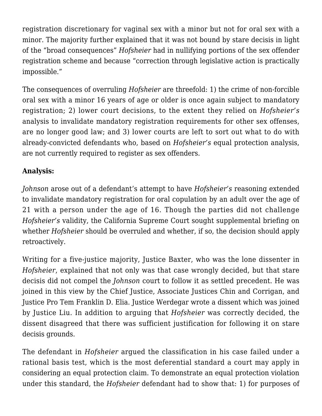registration discretionary for vaginal sex with a minor but not for oral sex with a minor. The majority further explained that it was not bound by stare decisis in light of the "broad consequences" *Hofsheier* had in nullifying portions of the sex offender registration scheme and because "correction through legislative action is practically impossible."

The consequences of overruling *Hofsheier* are threefold: 1) the crime of non-forcible oral sex with a minor 16 years of age or older is once again subject to mandatory registration; 2) lower court decisions, to the extent they relied on *Hofsheier's* analysis to invalidate mandatory registration requirements for other sex offenses, are no longer good law; and 3) lower courts are left to sort out what to do with already-convicted defendants who, based on *Hofsheier's* equal protection analysis, are not currently required to register as sex offenders.

## **Analysis:**

*Johnson* arose out of a defendant's attempt to have *Hofsheier's* reasoning extended to invalidate mandatory registration for oral copulation by an adult over the age of 21 with a person under the age of 16. Though the parties did not challenge *Hofsheier's* validity, the California Supreme Court sought supplemental briefing on whether *Hofsheier* should be overruled and whether, if so, the decision should apply retroactively.

Writing for a five-justice majority, Justice Baxter, who was the lone dissenter in *Hofsheier*, explained that not only was that case wrongly decided, but that stare decisis did not compel the *Johnson* court to follow it as settled precedent. He was joined in this view by the Chief Justice, Associate Justices Chin and Corrigan, and Justice Pro Tem Franklin D. Elia. Justice Werdegar wrote a dissent which was joined by Justice Liu. In addition to arguing that *Hofsheier* was correctly decided, the dissent disagreed that there was sufficient justification for following it on stare decisis grounds.

The defendant in *Hofsheier* argued the classification in his case failed under a rational basis test, which is the most deferential standard a court may apply in considering an equal protection claim. To demonstrate an equal protection violation under this standard, the *Hofsheier* defendant had to show that: 1) for purposes of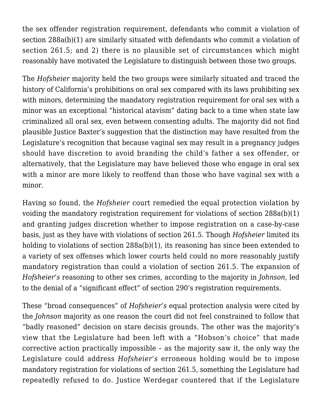the sex offender registration requirement, defendants who commit a violation of section 288a(b)(1) are similarly situated with defendants who commit a violation of section [261.5;](http://www.leginfo.ca.gov/cgi-bin/displaycode?section=pen&group=00001-01000&file=261-269) and 2) there is no plausible set of circumstances which might reasonably have motivated the Legislature to distinguish between those two groups.

The *Hofsheier* majority held the two groups were similarly situated and traced the history of California's prohibitions on oral sex compared with its laws prohibiting sex with minors, determining the mandatory registration requirement for oral sex with a minor was an exceptional "historical atavism" dating back to a time when state law criminalized all oral sex, even between consenting adults. The majority did not find plausible Justice Baxter's suggestion that the distinction may have resulted from the Legislature's recognition that because vaginal sex may result in a pregnancy judges should have discretion to avoid branding the child's father a sex offender, or alternatively, that the Legislature may have believed those who engage in oral sex with a minor are more likely to reoffend than those who have vaginal sex with a minor.

Having so found, the *Hofsheier* court remedied the equal protection violation by voiding the mandatory registration requirement for violations of section 288a(b)(1) and granting judges discretion whether to impose registration on a case-by-case basis, just as they have with violations of section 261.5. Though *Hofsheier* limited its holding to violations of section 288a(b)(1), its reasoning has since been extended to a variety of sex offenses which lower courts held could no more reasonably justify mandatory registration than could a violation of section 261.5. The expansion of *Hofsheier's* reasoning to other sex crimes, according to the majority in *Johnson*, led to the denial of a "significant effect" of section 290's registration requirements.

These "broad consequences" of *Hofsheier's* equal protection analysis were cited by the *Johnson* majority as one reason the court did not feel constrained to follow that "badly reasoned" decision on stare decisis grounds. The other was the majority's view that the Legislature had been left with a "Hobson's choice" that made corrective action practically impossible – as the majority saw it, the only way the Legislature could address *Hofsheier's* erroneous holding would be to impose mandatory registration for violations of section 261.5, something the Legislature had repeatedly refused to do. Justice Werdegar countered that if the Legislature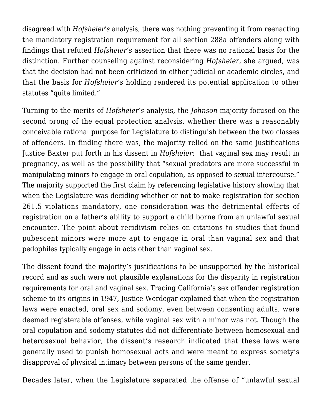disagreed with *Hofsheier's* analysis, there was nothing preventing it from reenacting the mandatory registration requirement for all section 288a offenders along with findings that refuted *Hofsheier's* assertion that there was no rational basis for the distinction. Further counseling against reconsidering *Hofsheier*, she argued, was that the decision had not been criticized in either judicial or academic circles, and that the basis for *Hofsheier's* holding rendered its potential application to other statutes "quite limited."

Turning to the merits of *Hofsheier's* analysis, the *Johnson* majority focused on the second prong of the equal protection analysis, whether there was a reasonably conceivable rational purpose for Legislature to distinguish between the two classes of offenders. In finding there was, the majority relied on the same justifications Justice Baxter put forth in his dissent in *Hofsheier*: that vaginal sex may result in pregnancy, as well as the possibility that "sexual predators are more successful in manipulating minors to engage in oral copulation, as opposed to sexual intercourse." The majority supported the first claim by referencing legislative history showing that when the Legislature was deciding whether or not to make registration for section 261.5 violations mandatory, one consideration was the detrimental effects of registration on a father's ability to support a child borne from an unlawful sexual encounter. The point about recidivism relies on citations to studies that found pubescent minors were more apt to engage in oral than vaginal sex and that pedophiles typically engage in acts other than vaginal sex.

The dissent found the majority's justifications to be unsupported by the historical record and as such were not plausible explanations for the disparity in registration requirements for oral and vaginal sex. Tracing California's sex offender registration scheme to its origins in 1947, Justice Werdegar explained that when the registration laws were enacted, oral sex and sodomy, even between consenting adults, were deemed registerable offenses, while vaginal sex with a minor was not. Though the oral copulation and sodomy statutes did not differentiate between homosexual and heterosexual behavior, the dissent's research indicated that these laws were generally used to punish homosexual acts and were meant to express society's disapproval of physical intimacy between persons of the same gender.

Decades later, when the Legislature separated the offense of "unlawful sexual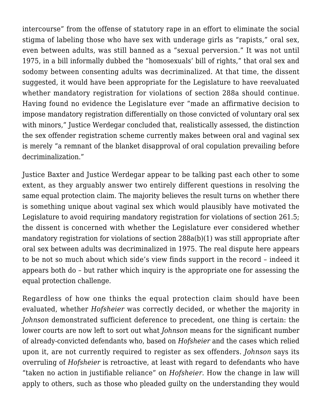intercourse" from the offense of statutory rape in an effort to eliminate the social stigma of labeling those who have sex with underage girls as "rapists," oral sex, even between adults, was still banned as a "sexual perversion." It was not until 1975, in a bill informally dubbed the "homosexuals' bill of rights," that oral sex and sodomy between consenting adults was decriminalized. At that time, the dissent suggested, it would have been appropriate for the Legislature to have reevaluated whether mandatory registration for violations of section 288a should continue. Having found no evidence the Legislature ever "made an affirmative decision to impose mandatory registration differentially on those convicted of voluntary oral sex with minors," Justice Werdegar concluded that, realistically assessed, the distinction the sex offender registration scheme currently makes between oral and vaginal sex is merely "a remnant of the blanket disapproval of oral copulation prevailing before decriminalization."

Justice Baxter and Justice Werdegar appear to be talking past each other to some extent, as they arguably answer two entirely different questions in resolving the same equal protection claim. The majority believes the result turns on whether there is something unique about vaginal sex which would plausibly have motivated the Legislature to avoid requiring mandatory registration for violations of section 261.5; the dissent is concerned with whether the Legislature ever considered whether mandatory registration for violations of section 288a(b)(1) was still appropriate after oral sex between adults was decriminalized in 1975. The real dispute here appears to be not so much about which side's view finds support in the record – indeed it appears both do – but rather which inquiry is the appropriate one for assessing the equal protection challenge.

Regardless of how one thinks the equal protection claim should have been evaluated, whether *Hofsheier* was correctly decided, or whether the majority in *Johnson* demonstrated sufficient deference to precedent, one thing is certain: the lower courts are now left to sort out what *Johnson* means for the significant number of already-convicted defendants who, based on *Hofsheier* and the cases which relied upon it, are not currently required to register as sex offenders. *Johnson* says its overruling of *Hofsheier* is retroactive, at least with regard to defendants who have "taken no action in justifiable reliance" on *Hofsheier*. How the change in law will apply to others, such as those who pleaded guilty on the understanding they would